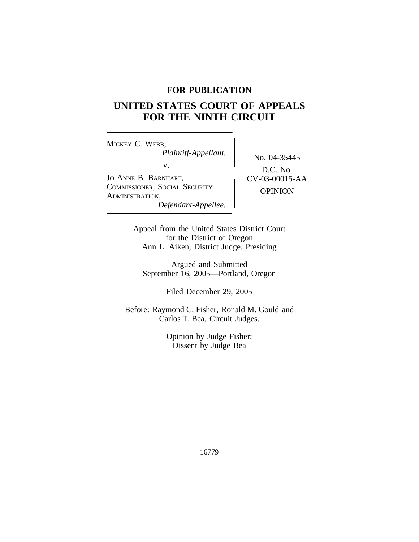## **FOR PUBLICATION**

# **UNITED STATES COURT OF APPEALS FOR THE NINTH CIRCUIT**

<sup>M</sup>ICKEY C. WEBB, *Plaintiff-Appellant,* No. 04-35445<br>v.  $\qquad \qquad$  No. 04-35445 JO ANNE B. BARNHART,  $CV-03-00015-AA$ <sup>C</sup>OMMISSIONER, SOCIAL SECURITY OPINION <sup>A</sup>DMINISTRATION, *Defendant-Appellee.*

D.C. No.

Appeal from the United States District Court for the District of Oregon Ann L. Aiken, District Judge, Presiding

Argued and Submitted September 16, 2005—Portland, Oregon

Filed December 29, 2005

Before: Raymond C. Fisher, Ronald M. Gould and Carlos T. Bea, Circuit Judges.

> Opinion by Judge Fisher; Dissent by Judge Bea

> > 16779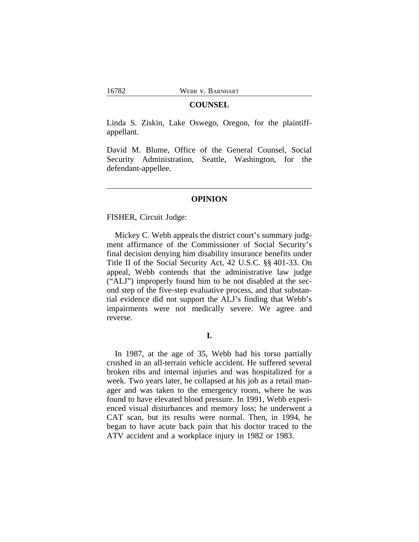#### **COUNSEL**

Linda S. Ziskin, Lake Oswego, Oregon, for the plaintiffappellant.

David M. Blume, Office of the General Counsel, Social Security Administration, Seattle, Washington, for the defendant-appellee.

## **OPINION**

FISHER, Circuit Judge:

Mickey C. Webb appeals the district court's summary judgment affirmance of the Commissioner of Social Security's final decision denying him disability insurance benefits under Title II of the Social Security Act, 42 U.S.C. §§ 401-33. On appeal, Webb contends that the administrative law judge ("ALJ") improperly found him to be not disabled at the second step of the five-step evaluative process, and that substantial evidence did not support the ALJ's finding that Webb's impairments were not medically severe. We agree and reverse.

## **I.**

In 1987, at the age of 35, Webb had his torso partially crushed in an all-terrain vehicle accident. He suffered several broken ribs and internal injuries and was hospitalized for a week. Two years later, he collapsed at his job as a retail manager and was taken to the emergency room, where he was found to have elevated blood pressure. In 1991, Webb experienced visual disturbances and memory loss; he underwent a CAT scan, but its results were normal. Then, in 1994, he began to have acute back pain that his doctor traced to the ATV accident and a workplace injury in 1982 or 1983.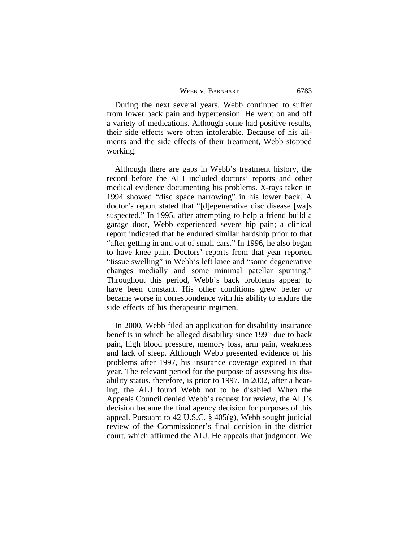| WEBB V. BARNHART | 16783 |
|------------------|-------|
|------------------|-------|

During the next several years, Webb continued to suffer from lower back pain and hypertension. He went on and off a variety of medications. Although some had positive results, their side effects were often intolerable. Because of his ailments and the side effects of their treatment, Webb stopped working.

Although there are gaps in Webb's treatment history, the record before the ALJ included doctors' reports and other medical evidence documenting his problems. X-rays taken in 1994 showed "disc space narrowing" in his lower back. A doctor's report stated that "[d]egenerative disc disease [wa]s suspected." In 1995, after attempting to help a friend build a garage door, Webb experienced severe hip pain; a clinical report indicated that he endured similar hardship prior to that "after getting in and out of small cars." In 1996, he also began to have knee pain. Doctors' reports from that year reported "tissue swelling" in Webb's left knee and "some degenerative changes medially and some minimal patellar spurring." Throughout this period, Webb's back problems appear to have been constant. His other conditions grew better or became worse in correspondence with his ability to endure the side effects of his therapeutic regimen.

In 2000, Webb filed an application for disability insurance benefits in which he alleged disability since 1991 due to back pain, high blood pressure, memory loss, arm pain, weakness and lack of sleep. Although Webb presented evidence of his problems after 1997, his insurance coverage expired in that year. The relevant period for the purpose of assessing his disability status, therefore, is prior to 1997. In 2002, after a hearing, the ALJ found Webb not to be disabled. When the Appeals Council denied Webb's request for review, the ALJ's decision became the final agency decision for purposes of this appeal. Pursuant to 42 U.S.C. § 405(g), Webb sought judicial review of the Commissioner's final decision in the district court, which affirmed the ALJ. He appeals that judgment. We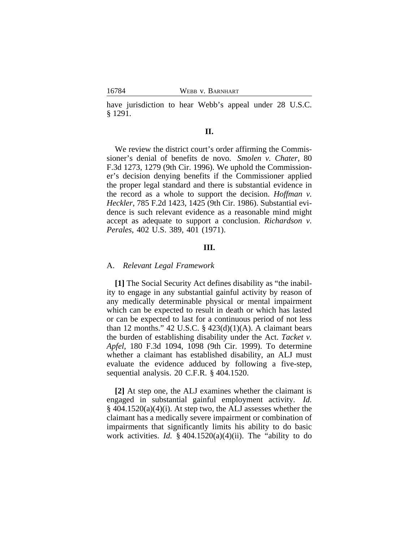have jurisdiction to hear Webb's appeal under 28 U.S.C. § 1291.

## **II.**

We review the district court's order affirming the Commissioner's denial of benefits de novo. *Smolen v. Chater*, 80 F.3d 1273, 1279 (9th Cir. 1996). We uphold the Commissioner's decision denying benefits if the Commissioner applied the proper legal standard and there is substantial evidence in the record as a whole to support the decision. *Hoffman v. Heckler*, 785 F.2d 1423, 1425 (9th Cir. 1986). Substantial evidence is such relevant evidence as a reasonable mind might accept as adequate to support a conclusion. *Richardson v. Perales*, 402 U.S. 389, 401 (1971).

## **III.**

#### A. *Relevant Legal Framework*

**[1]** The Social Security Act defines disability as "the inability to engage in any substantial gainful activity by reason of any medically determinable physical or mental impairment which can be expected to result in death or which has lasted or can be expected to last for a continuous period of not less than 12 months." 42 U.S.C.  $\S$  423(d)(1)(A). A claimant bears the burden of establishing disability under the Act. *Tacket v. Apfel*, 180 F.3d 1094, 1098 (9th Cir. 1999). To determine whether a claimant has established disability, an ALJ must evaluate the evidence adduced by following a five-step, sequential analysis. 20 C.F.R. § 404.1520.

**[2]** At step one, the ALJ examines whether the claimant is engaged in substantial gainful employment activity. *Id.*  $\S$  404.1520(a)(4)(i). At step two, the ALJ assesses whether the claimant has a medically severe impairment or combination of impairments that significantly limits his ability to do basic work activities. *Id.* § 404.1520(a)(4)(ii). The "ability to do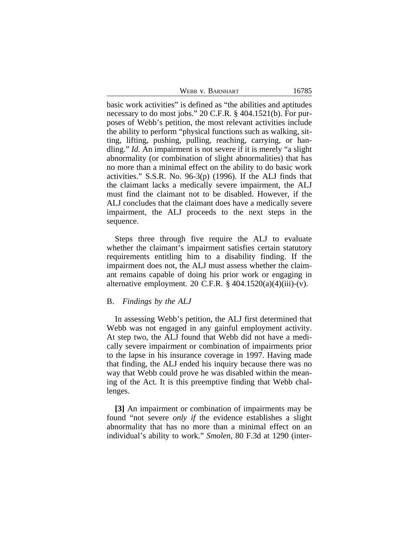| WEBB V. BARNHART | 16785 |
|------------------|-------|
|                  |       |

basic work activities" is defined as "the abilities and aptitudes necessary to do most jobs." 20 C.F.R. § 404.1521(b). For purposes of Webb's petition, the most relevant activities include the ability to perform "physical functions such as walking, sitting, lifting, pushing, pulling, reaching, carrying, or handling." *Id.* An impairment is not severe if it is merely "a slight abnormality (or combination of slight abnormalities) that has no more than a minimal effect on the ability to do basic work activities." S.S.R. No. 96-3(p) (1996). If the ALJ finds that the claimant lacks a medically severe impairment, the ALJ must find the claimant not to be disabled. However, if the ALJ concludes that the claimant does have a medically severe impairment, the ALJ proceeds to the next steps in the sequence.

Steps three through five require the ALJ to evaluate whether the claimant's impairment satisfies certain statutory requirements entitling him to a disability finding. If the impairment does not, the ALJ must assess whether the claimant remains capable of doing his prior work or engaging in alternative employment. 20 C.F.R.  $\S$  404.1520(a)(4)(iii)-(v).

#### B. *Findings by the ALJ*

In assessing Webb's petition, the ALJ first determined that Webb was not engaged in any gainful employment activity. At step two, the ALJ found that Webb did not have a medically severe impairment or combination of impairments prior to the lapse in his insurance coverage in 1997. Having made that finding, the ALJ ended his inquiry because there was no way that Webb could prove he was disabled within the meaning of the Act. It is this preemptive finding that Webb challenges.

**[3]** An impairment or combination of impairments may be found "not severe *only if* the evidence establishes a slight abnormality that has no more than a minimal effect on an individual's ability to work." *Smolen*, 80 F.3d at 1290 (inter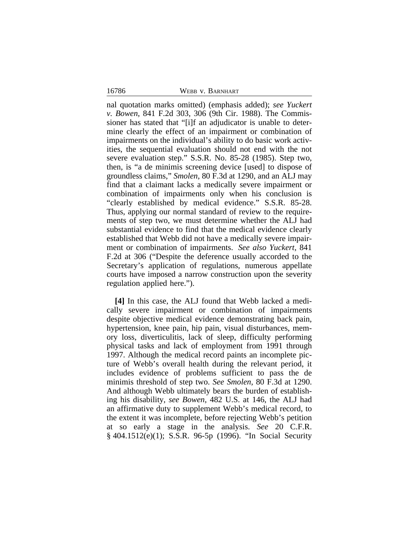16786 WEBB v. BARNHART

nal quotation marks omitted) (emphasis added); *see Yuckert v. Bowen*, 841 F.2d 303, 306 (9th Cir. 1988). The Commissioner has stated that "[i]f an adjudicator is unable to determine clearly the effect of an impairment or combination of impairments on the individual's ability to do basic work activities, the sequential evaluation should not end with the not severe evaluation step." S.S.R. No. 85-28 (1985). Step two, then, is "a de minimis screening device [used] to dispose of groundless claims," *Smolen*, 80 F.3d at 1290, and an ALJ may find that a claimant lacks a medically severe impairment or combination of impairments only when his conclusion is "clearly established by medical evidence." S.S.R. 85-28. Thus, applying our normal standard of review to the requirements of step two, we must determine whether the ALJ had substantial evidence to find that the medical evidence clearly established that Webb did not have a medically severe impairment or combination of impairments. *See also Yuckert*, 841 F.2d at 306 ("Despite the deference usually accorded to the Secretary's application of regulations, numerous appellate courts have imposed a narrow construction upon the severity regulation applied here.").

**[4]** In this case, the ALJ found that Webb lacked a medically severe impairment or combination of impairments despite objective medical evidence demonstrating back pain, hypertension, knee pain, hip pain, visual disturbances, memory loss, diverticulitis, lack of sleep, difficulty performing physical tasks and lack of employment from 1991 through 1997. Although the medical record paints an incomplete picture of Webb's overall health during the relevant period, it includes evidence of problems sufficient to pass the de minimis threshold of step two. *See Smolen*, 80 F.3d at 1290. And although Webb ultimately bears the burden of establishing his disability, *see Bowen*, 482 U.S. at 146, the ALJ had an affirmative duty to supplement Webb's medical record, to the extent it was incomplete, before rejecting Webb's petition at so early a stage in the analysis. *See* 20 C.F.R. § 404.1512(e)(1); S.S.R. 96-5p (1996). "In Social Security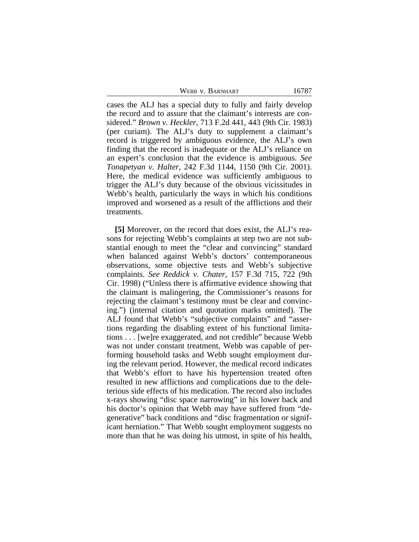WEBB V. BARNHART 16787

cases the ALJ has a special duty to fully and fairly develop the record and to assure that the claimant's interests are considered." *Brown v. Heckler*, 713 F.2d 441, 443 (9th Cir. 1983) (per curiam). The ALJ's duty to supplement a claimant's record is triggered by ambiguous evidence, the ALJ's own finding that the record is inadequate or the ALJ's reliance on an expert's conclusion that the evidence is ambiguous. *See Tonapetyan v. Halter*, 242 F.3d 1144, 1150 (9th Cir. 2001). Here, the medical evidence was sufficiently ambiguous to trigger the ALJ's duty because of the obvious vicissitudes in Webb's health, particularly the ways in which his conditions improved and worsened as a result of the afflictions and their treatments.

**[5]** Moreover, on the record that does exist, the ALJ's reasons for rejecting Webb's complaints at step two are not substantial enough to meet the "clear and convincing" standard when balanced against Webb's doctors' contemporaneous observations, some objective tests and Webb's subjective complaints. *See Reddick v. Chater*, 157 F.3d 715, 722 (9th Cir. 1998) ("Unless there is affirmative evidence showing that the claimant is malingering, the Commissioner's reasons for rejecting the claimant's testimony must be clear and convincing.") (internal citation and quotation marks omitted). The ALJ found that Webb's "subjective complaints" and "assertions regarding the disabling extent of his functional limitations . . . [we]re exaggerated, and not credible" because Webb was not under constant treatment, Webb was capable of performing household tasks and Webb sought employment during the relevant period. However, the medical record indicates that Webb's effort to have his hypertension treated often resulted in new afflictions and complications due to the deleterious side effects of his medication. The record also includes x-rays showing "disc space narrowing" in his lower back and his doctor's opinion that Webb may have suffered from "degenerative" back conditions and "disc fragmentation or significant herniation." That Webb sought employment suggests no more than that he was doing his utmost, in spite of his health,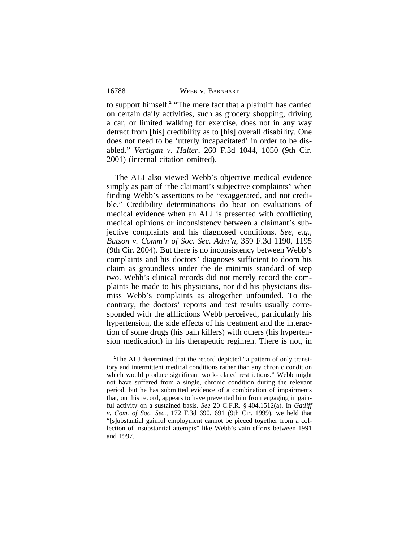to support himself.**<sup>1</sup>** "The mere fact that a plaintiff has carried on certain daily activities, such as grocery shopping, driving a car, or limited walking for exercise, does not in any way detract from [his] credibility as to [his] overall disability. One does not need to be 'utterly incapacitated' in order to be disabled." *Vertigan v. Halter*, 260 F.3d 1044, 1050 (9th Cir. 2001) (internal citation omitted).

The ALJ also viewed Webb's objective medical evidence simply as part of "the claimant's subjective complaints" when finding Webb's assertions to be "exaggerated, and not credible." Credibility determinations do bear on evaluations of medical evidence when an ALJ is presented with conflicting medical opinions or inconsistency between a claimant's subjective complaints and his diagnosed conditions. *See, e.g., Batson v. Comm'r of Soc. Sec. Adm'n*, 359 F.3d 1190, 1195 (9th Cir. 2004). But there is no inconsistency between Webb's complaints and his doctors' diagnoses sufficient to doom his claim as groundless under the de minimis standard of step two. Webb's clinical records did not merely record the complaints he made to his physicians, nor did his physicians dismiss Webb's complaints as altogether unfounded. To the contrary, the doctors' reports and test results usually corresponded with the afflictions Webb perceived, particularly his hypertension, the side effects of his treatment and the interaction of some drugs (his pain killers) with others (his hypertension medication) in his therapeutic regimen. There is not, in

**<sup>1</sup>**The ALJ determined that the record depicted "a pattern of only transitory and intermittent medical conditions rather than any chronic condition which would produce significant work-related restrictions." Webb might not have suffered from a single, chronic condition during the relevant period, but he has submitted evidence of a combination of impairments that, on this record, appears to have prevented him from engaging in gainful activity on a sustained basis. *See* 20 C.F.R. § 404.1512(a). In *Gatliff v. Com. of Soc. Sec.*, 172 F.3d 690, 691 (9th Cir. 1999), we held that "[s]ubstantial gainful employment cannot be pieced together from a collection of insubstantial attempts" like Webb's vain efforts between 1991 and 1997.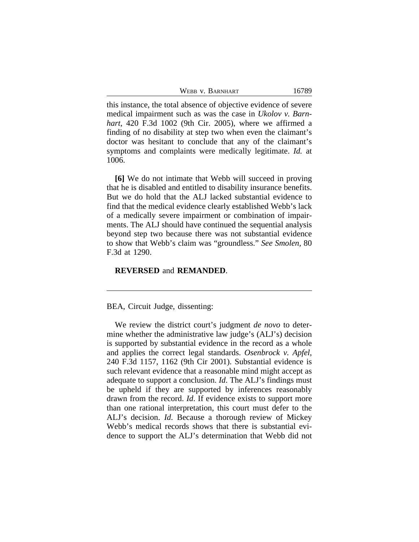WEBB V. BARNHART 16789

this instance, the total absence of objective evidence of severe medical impairment such as was the case in *Ukolov v. Barnhart*, 420 F.3d 1002 (9th Cir. 2005), where we affirmed a finding of no disability at step two when even the claimant's doctor was hesitant to conclude that any of the claimant's symptoms and complaints were medically legitimate. *Id.* at 1006.

**[6]** We do not intimate that Webb will succeed in proving that he is disabled and entitled to disability insurance benefits. But we do hold that the ALJ lacked substantial evidence to find that the medical evidence clearly established Webb's lack of a medically severe impairment or combination of impairments. The ALJ should have continued the sequential analysis beyond step two because there was not substantial evidence to show that Webb's claim was "groundless." *See Smolen*, 80 F.3d at 1290.

#### **REVERSED** and **REMANDED**.

BEA, Circuit Judge, dissenting:

We review the district court's judgment *de novo* to determine whether the administrative law judge's (ALJ's) decision is supported by substantial evidence in the record as a whole and applies the correct legal standards. *Osenbrock v. Apfel*, 240 F.3d 1157, 1162 (9th Cir 2001). Substantial evidence is such relevant evidence that a reasonable mind might accept as adequate to support a conclusion. *Id*. The ALJ's findings must be upheld if they are supported by inferences reasonably drawn from the record. *Id*. If evidence exists to support more than one rational interpretation, this court must defer to the ALJ's decision. *Id*. Because a thorough review of Mickey Webb's medical records shows that there is substantial evidence to support the ALJ's determination that Webb did not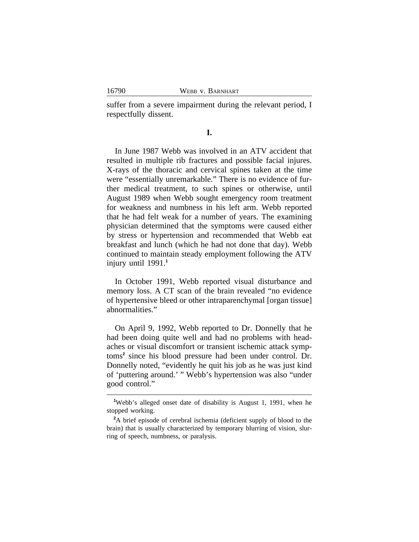suffer from a severe impairment during the relevant period, I respectfully dissent.

**I.**

In June 1987 Webb was involved in an ATV accident that resulted in multiple rib fractures and possible facial injures. X-rays of the thoracic and cervical spines taken at the time were "essentially unremarkable." There is no evidence of further medical treatment, to such spines or otherwise, until August 1989 when Webb sought emergency room treatment for weakness and numbness in his left arm. Webb reported that he had felt weak for a number of years. The examining physician determined that the symptoms were caused either by stress or hypertension and recommended that Webb eat breakfast and lunch (which he had not done that day). Webb continued to maintain steady employment following the ATV injury until 1991.**<sup>1</sup>**

In October 1991, Webb reported visual disturbance and memory loss. A CT scan of the brain revealed "no evidence of hypertensive bleed or other intraparenchymal [organ tissue] abnormalities."

On April 9, 1992, Webb reported to Dr. Donnelly that he had been doing quite well and had no problems with headaches or visual discomfort or transient ischemic attack symptoms**<sup>2</sup>** since his blood pressure had been under control. Dr. Donnelly noted, "evidently he quit his job as he was just kind of 'puttering around.' " Webb's hypertension was also "under good control."

**<sup>1</sup>**Webb's alleged onset date of disability is August 1, 1991, when he stopped working.

**<sup>2</sup>**A brief episode of cerebral ischemia (deficient supply of blood to the brain) that is usually characterized by temporary blurring of vision, slurring of speech, numbness, or paralysis.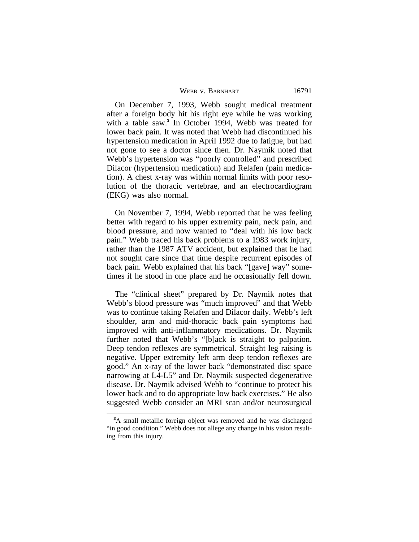| WEBB V. BARNHART | 16791 |
|------------------|-------|
|------------------|-------|

On December 7, 1993, Webb sought medical treatment after a foreign body hit his right eye while he was working with a table saw.**<sup>3</sup>** In October 1994, Webb was treated for lower back pain. It was noted that Webb had discontinued his hypertension medication in April 1992 due to fatigue, but had not gone to see a doctor since then. Dr. Naymik noted that Webb's hypertension was "poorly controlled" and prescribed Dilacor (hypertension medication) and Relafen (pain medication). A chest x-ray was within normal limits with poor resolution of the thoracic vertebrae, and an electrocardiogram (EKG) was also normal.

On November 7, 1994, Webb reported that he was feeling better with regard to his upper extremity pain, neck pain, and blood pressure, and now wanted to "deal with his low back pain." Webb traced his back problems to a 1983 work injury, rather than the 1987 ATV accident, but explained that he had not sought care since that time despite recurrent episodes of back pain. Webb explained that his back "[gave] way" sometimes if he stood in one place and he occasionally fell down.

The "clinical sheet" prepared by Dr. Naymik notes that Webb's blood pressure was "much improved" and that Webb was to continue taking Relafen and Dilacor daily. Webb's left shoulder, arm and mid-thoracic back pain symptoms had improved with anti-inflammatory medications. Dr. Naymik further noted that Webb's "[b]ack is straight to palpation. Deep tendon reflexes are symmetrical. Straight leg raising is negative. Upper extremity left arm deep tendon reflexes are good." An x-ray of the lower back "demonstrated disc space narrowing at L4-L5" and Dr. Naymik suspected degenerative disease. Dr. Naymik advised Webb to "continue to protect his lower back and to do appropriate low back exercises." He also suggested Webb consider an MRI scan and/or neurosurgical

**<sup>3</sup>**A small metallic foreign object was removed and he was discharged "in good condition." Webb does not allege any change in his vision resulting from this injury.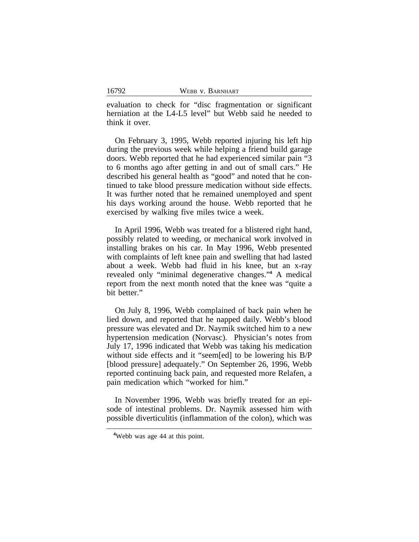evaluation to check for "disc fragmentation or significant herniation at the L4-L5 level" but Webb said he needed to think it over.

On February 3, 1995, Webb reported injuring his left hip during the previous week while helping a friend build garage doors. Webb reported that he had experienced similar pain "3 to 6 months ago after getting in and out of small cars." He described his general health as "good" and noted that he continued to take blood pressure medication without side effects. It was further noted that he remained unemployed and spent his days working around the house. Webb reported that he exercised by walking five miles twice a week.

In April 1996, Webb was treated for a blistered right hand, possibly related to weeding, or mechanical work involved in installing brakes on his car. In May 1996, Webb presented with complaints of left knee pain and swelling that had lasted about a week. Webb had fluid in his knee, but an x-ray revealed only "minimal degenerative changes."<sup>4</sup> A medical report from the next month noted that the knee was "quite a bit better."

On July 8, 1996, Webb complained of back pain when he lied down, and reported that he napped daily. Webb's blood pressure was elevated and Dr. Naymik switched him to a new hypertension medication (Norvasc). Physician's notes from July 17, 1996 indicated that Webb was taking his medication without side effects and it "seem[ed] to be lowering his B/P [blood pressure] adequately." On September 26, 1996, Webb reported continuing back pain, and requested more Relafen, a pain medication which "worked for him."

In November 1996, Webb was briefly treated for an episode of intestinal problems. Dr. Naymik assessed him with possible diverticulitis (inflammation of the colon), which was

**<sup>4</sup>**Webb was age 44 at this point.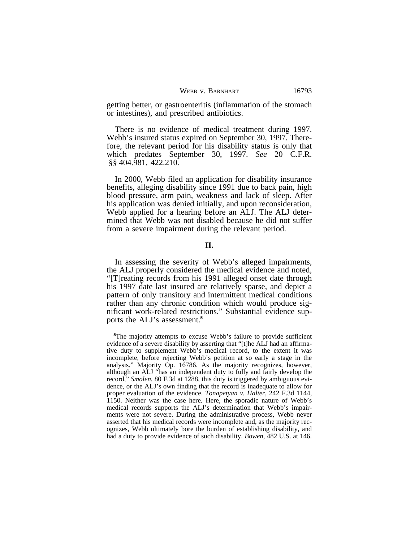|  |  | WEBB V. BARNHART |
|--|--|------------------|
|--|--|------------------|

getting better, or gastroenteritis (inflammation of the stomach or intestines), and prescribed antibiotics.

There is no evidence of medical treatment during 1997. Webb's insured status expired on September 30, 1997. Therefore, the relevant period for his disability status is only that which predates September 30, 1997. *See* 20 C.F.R. §§ 404.981, 422.210.

In 2000, Webb filed an application for disability insurance benefits, alleging disability since 1991 due to back pain, high blood pressure, arm pain, weakness and lack of sleep. After his application was denied initially, and upon reconsideration, Webb applied for a hearing before an ALJ. The ALJ determined that Webb was not disabled because he did not suffer from a severe impairment during the relevant period.

**II.**

In assessing the severity of Webb's alleged impairments, the ALJ properly considered the medical evidence and noted, "[T]reating records from his 1991 alleged onset date through his 1997 date last insured are relatively sparse, and depict a pattern of only transitory and intermittent medical conditions rather than any chronic condition which would produce significant work-related restrictions." Substantial evidence supports the ALJ's assessment.**<sup>5</sup>**

**<sup>5</sup>**The majority attempts to excuse Webb's failure to provide sufficient evidence of a severe disability by asserting that "[t]he ALJ had an affirmative duty to supplement Webb's medical record, to the extent it was incomplete, before rejecting Webb's petition at so early a stage in the analysis." Majority Op. 16786. As the majority recognizes, however, although an ALJ "has an independent duty to fully and fairly develop the record," *Smolen*, 80 F.3d at 1288, this duty is triggered by ambiguous evidence, or the ALJ's own finding that the record is inadequate to allow for proper evaluation of the evidence. *Tonapetyan v. Halter*, 242 F.3d 1144, 1150. Neither was the case here. Here, the sporadic nature of Webb's medical records supports the ALJ's determination that Webb's impairments were not severe. During the administrative process, Webb never asserted that his medical records were incomplete and, as the majority recognizes, Webb ultimately bore the burden of establishing disability, and had a duty to provide evidence of such disability. *Bowen*, 482 U.S. at 146.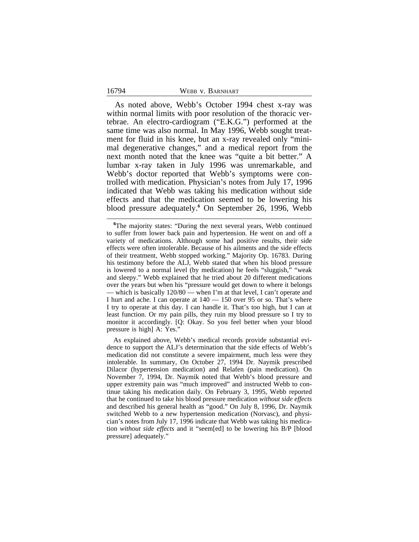16794

As noted above, Webb's October 1994 chest x-ray was within normal limits with poor resolution of the thoracic vertebrae. An electro-cardiogram ("E.K.G.") performed at the same time was also normal. In May 1996, Webb sought treatment for fluid in his knee, but an x-ray revealed only "minimal degenerative changes," and a medical report from the next month noted that the knee was "quite a bit better." A lumbar x-ray taken in July 1996 was unremarkable, and Webb's doctor reported that Webb's symptoms were controlled with medication. Physician's notes from July 17, 1996 indicated that Webb was taking his medication without side effects and that the medication seemed to be lowering his blood pressure adequately.**<sup>6</sup>** On September 26, 1996, Webb

<sup>&</sup>lt;sup>6</sup>The majority states: "During the next several years, Webb continued to suffer from lower back pain and hypertension. He went on and off a variety of medications. Although some had positive results, their side effects were often intolerable. Because of his ailments and the side effects of their treatment, Webb stopped working." Majority Op. 16783. During his testimony before the ALJ, Webb stated that when his blood pressure is lowered to a normal level (by medication) he feels "sluggish," "weak and sleepy." Webb explained that he tried about 20 different medications over the years but when his "pressure would get down to where it belongs — which is basically 120/80 — when I'm at that level, I can't operate and I hurt and ache. I can operate at 140 — 150 over 95 or so. That's where I try to operate at this day. I can handle it. That's too high, but I can at least function. Or my pain pills, they ruin my blood pressure so I try to monitor it accordingly. [Q: Okay. So you feel better when your blood pressure is high] A: Yes."

As explained above, Webb's medical records provide substantial evidence to support the ALJ's determination that the side effects of Webb's medication did not constitute a severe impairment, much less were they intolerable. In summary, On October 27, 1994 Dr. Naymik prescribed Dilacor (hypertension medication) and Relafen (pain medication). On November 7, 1994, Dr. Naymik noted that Webb's blood pressure and upper extremity pain was "much improved" and instructed Webb to continue taking his medication daily. On February 3, 1995, Webb reported that he continued to take his blood pressure medication *without side effects* and described his general health as "good." On July 8, 1996, Dr. Naymik switched Webb to a new hypertension medication (Norvasc), and physician's notes from July 17, 1996 indicate that Webb was taking his medication *without side effects* and it "seem[ed] to be lowering his B/P [blood pressure] adequately."